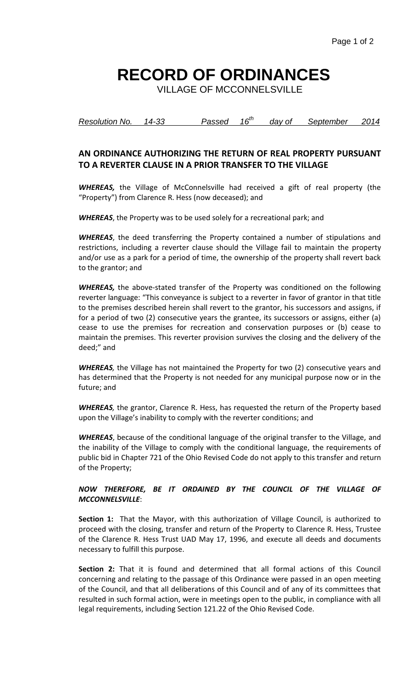## **RECORD OF ORDINANCES**

VILLAGE OF MCCONNELSVILLE

*Resolution No. 14-33 Passed 16th day of September 2014*

## **AN ORDINANCE AUTHORIZING THE RETURN OF REAL PROPERTY PURSUANT TO A REVERTER CLAUSE IN A PRIOR TRANSFER TO THE VILLAGE**

*WHEREAS,* the Village of McConnelsville had received a gift of real property (the "Property") from Clarence R. Hess (now deceased); and

*WHEREAS*, the Property was to be used solely for a recreational park; and

*WHEREAS*, the deed transferring the Property contained a number of stipulations and restrictions, including a reverter clause should the Village fail to maintain the property and/or use as a park for a period of time, the ownership of the property shall revert back to the grantor; and

*WHEREAS,* the above-stated transfer of the Property was conditioned on the following reverter language: "This conveyance is subject to a reverter in favor of grantor in that title to the premises described herein shall revert to the grantor, his successors and assigns, if for a period of two (2) consecutive years the grantee, its successors or assigns, either (a) cease to use the premises for recreation and conservation purposes or (b) cease to maintain the premises. This reverter provision survives the closing and the delivery of the deed;" and

*WHEREAS,* the Village has not maintained the Property for two (2) consecutive years and has determined that the Property is not needed for any municipal purpose now or in the future; and

*WHEREAS,* the grantor, Clarence R. Hess, has requested the return of the Property based upon the Village's inability to comply with the reverter conditions; and

*WHEREAS*, because of the conditional language of the original transfer to the Village, and the inability of the Village to comply with the conditional language, the requirements of public bid in Chapter 721 of the Ohio Revised Code do not apply to this transfer and return of the Property;

## *NOW THEREFORE, BE IT ORDAINED BY THE COUNCIL OF THE VILLAGE OF MCCONNELSVILLE*:

**Section 1:** That the Mayor, with this authorization of Village Council, is authorized to proceed with the closing, transfer and return of the Property to Clarence R. Hess, Trustee of the Clarence R. Hess Trust UAD May 17, 1996, and execute all deeds and documents necessary to fulfill this purpose.

**Section 2:** That it is found and determined that all formal actions of this Council concerning and relating to the passage of this Ordinance were passed in an open meeting of the Council, and that all deliberations of this Council and of any of its committees that resulted in such formal action, were in meetings open to the public, in compliance with all legal requirements, including Section 121.22 of the Ohio Revised Code.